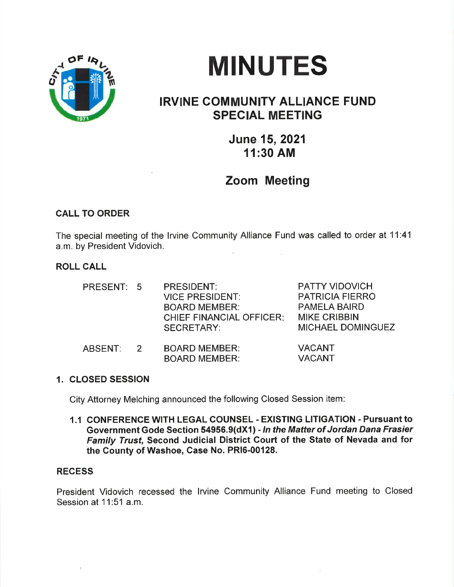

# MINUTES

# IRVINE COMMUNITY ALLIANCE FUND SPECIAL MEETING

June 15,2021 11:30 AM

# Zoom Meeting

## CALL TO ORDER

The special meeting of the lrvine Community Alliance Fund was called to order at 11:41 a.m. by President Vidovich.

## ROLL CALL

| PRESENT: 5 |                | <b>PRESIDENT:</b><br><b>VICE PRESIDENT:</b><br><b>BOARD MEMBER:</b><br><b>CHIEF FINANCIAL OFFICER:</b><br><b>SECRETARY:</b> | <b>PATTY VIDOVICH</b><br><b>PATRICIA FIERRO</b><br><b>PAMELA BAIRD</b><br><b>MIKE CRIBBIN</b><br><b>MICHAEL DOMINGUEZ</b> |
|------------|----------------|-----------------------------------------------------------------------------------------------------------------------------|---------------------------------------------------------------------------------------------------------------------------|
| ABSENT:    | $\overline{2}$ | <b>BOARD MEMBER:</b><br><b>BOARD MEMBER:</b>                                                                                | <b>VACANT</b><br><b>VACANT</b>                                                                                            |

#### 1. CLOSED SESSION

City Attorney Melching announced the following Closed Session item:

1.1 CONFERENCE WITH LEGAL COUNSEL - EXISTING LITIGATION - Pursuant to Government Gode Section 54956.9(dX1) - In the Matter of Jordan Dana Frasier Family Trust, Second Judicial District Gourt of the State of Nevada and for the Gounty of Washoe, Case No. PRl6-00128.

### **RECESS**

President Vidovich recessed the lrvine Community Alliance Fund meeting to Closed Session at 11:51 a.m.